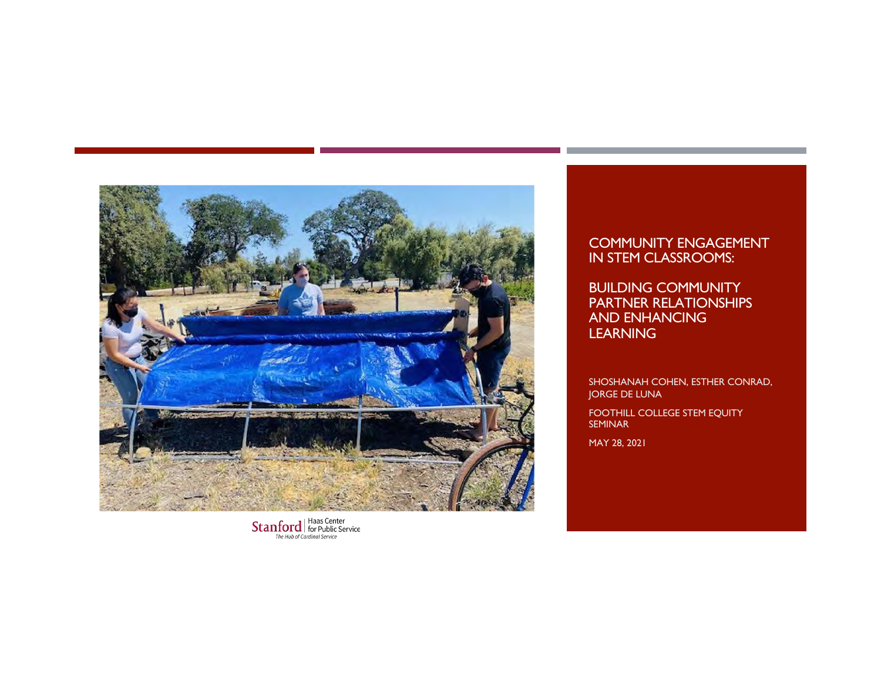

 $\textbf{Stanford} {\small \left\{\hspace{-0.5mm}\begin{array}{l}\text{Haas Center}\\ \text{for Public Service}\end{array}\hspace{-0.5mm}\right.}$ 

#### COMMUNITY ENGAGEMENT IN STEM CLASSROOMS:

BUILDING COMMUNITY PARTNER RELATIONSHIPS AND ENHANCING **LEARNING** 

SHOSHANAH COHEN, ESTHER CONRAD, JORGE DE LUNA

FOOTHILL COLLEGE STEM EQUITY SEMINAR

MAY 28, 2021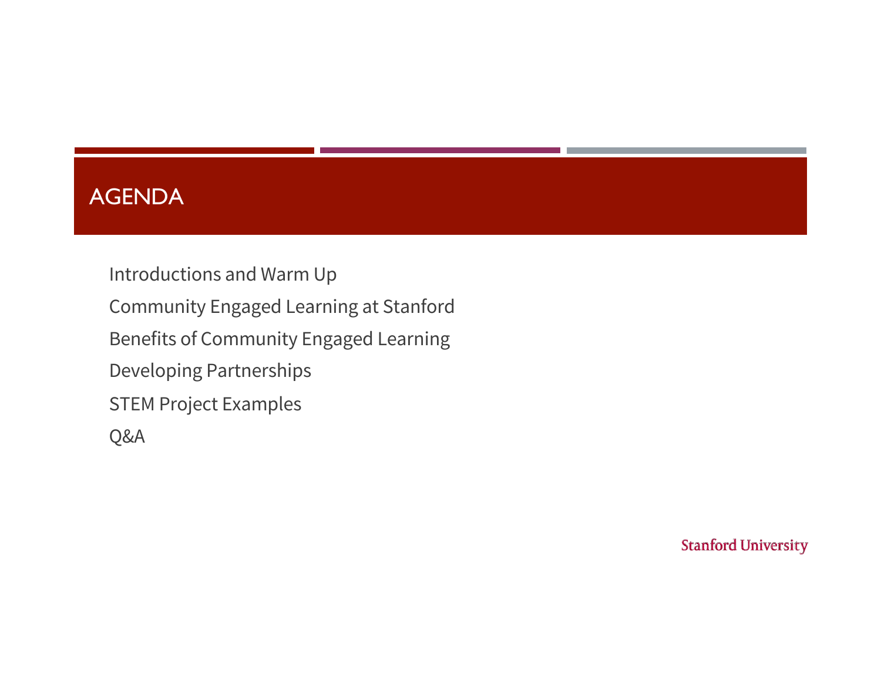## AGENDA

Introductions and Warm Up Community Engaged Learning at Stanford Benefits of Community Engaged Learning Developing Partnerships STEM Project Examples Q&A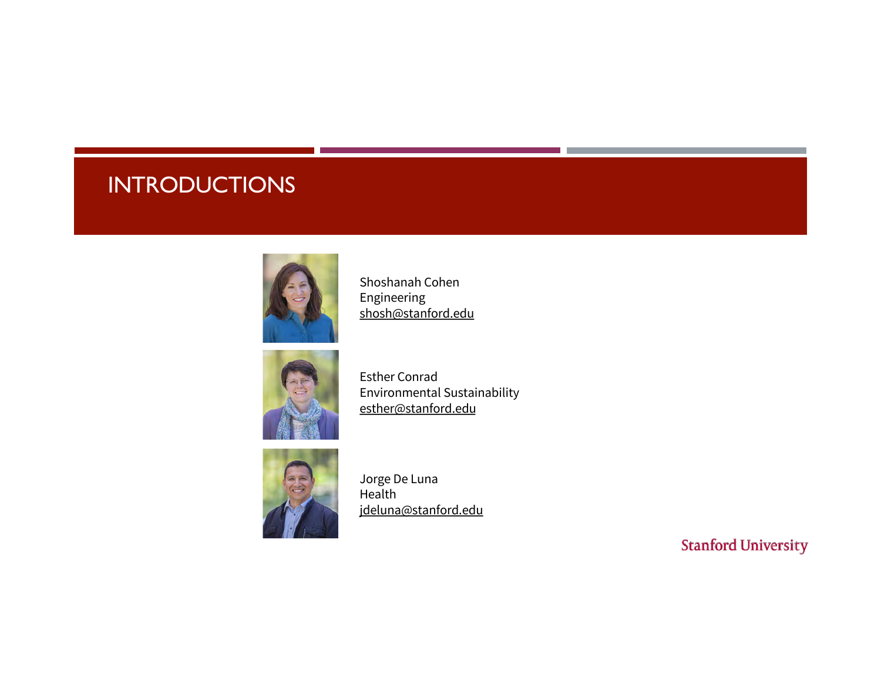# **INTRODUCTIONS**



Shoshanah Cohen Engineering [shosh@stanf](mailto:shosh@stanford.edu)ord.edu



Esther Conrad Environmental Sustainability [esther@stanf](mailto:shosh@stanford.edu)ord.edu



Jorge De Luna Health [jdeluna@stanf](mailto:jdeluna@stanford.edu)ord.edu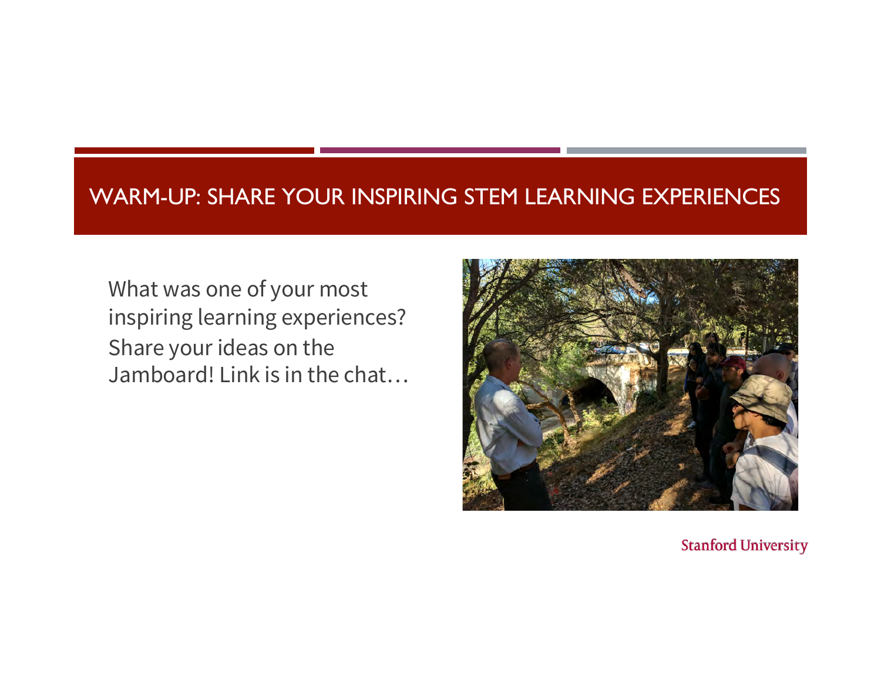### WARM-UP: SHARE YOUR INSPIRING STEM LEARNING EXPERIENCES

What was one of your most inspiring learning experiences? Share your ideas on the Jamboard! Link is in the chat…

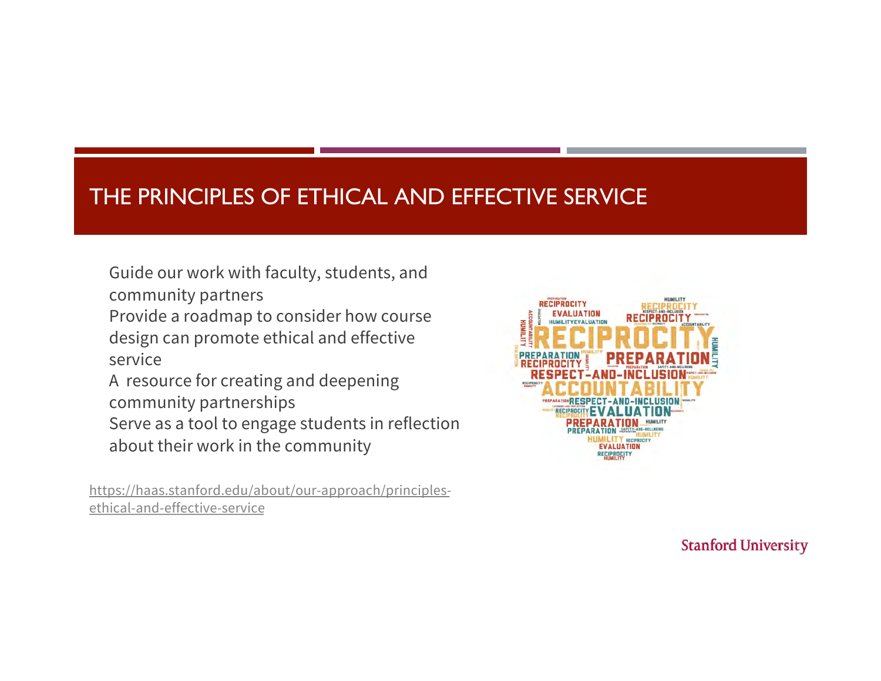# THE PRINCIPLES OF ETHICAL AND EFFECTIVE SERVICE

Guide our work with faculty, students, and community partners

Provide a roadmap to consider how course design can promote ethical and effective service

A resource for creating and deepening community partnerships

Serve as a tool to engage students in reflection about their work in the community

[https://haas.stanford.edu/about/our-approach/prin](https://haas.stanford.edu/about/our-approach/principles-ethical-and-effective-service)ciplesethical-and-effective-service

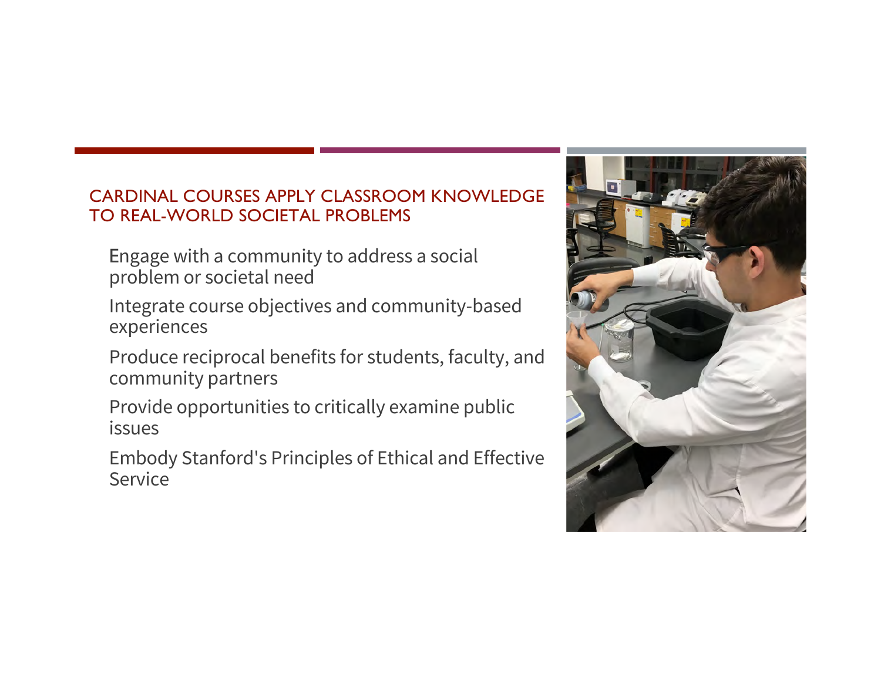#### CARDINAL COURSES APPLY CLASSROOM KNOWLEDGE TO REAL-WORLD SOCIETAL PROBLEMS

- Engage with a community to address a social problem or societal need
- Integrate course objectives and community-based experiences
- Produce reciprocal benefits for students, faculty, and community partners
- Provide opportunities to critically examine public issues
- Embody Stanford's Principles of Ethical and Effective Service

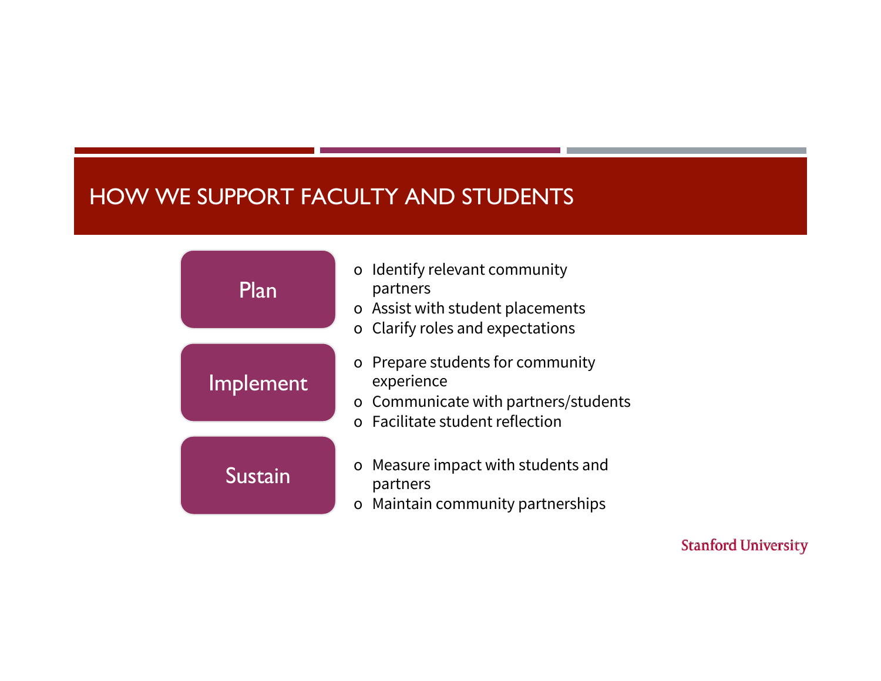# HOW WE SUPPORT FACULTY AND STUDENTS

| Plan      | o Identify relevant community<br>partners<br>o Assist with student placements<br>o Clarify roles and expectations         |  |  |
|-----------|---------------------------------------------------------------------------------------------------------------------------|--|--|
| Implement | o Prepare students for community<br>experience<br>o Communicate with partners/students<br>o Facilitate student reflection |  |  |
| Sustain   | o Measure impact with students and<br>partners<br>o Maintain community partnerships                                       |  |  |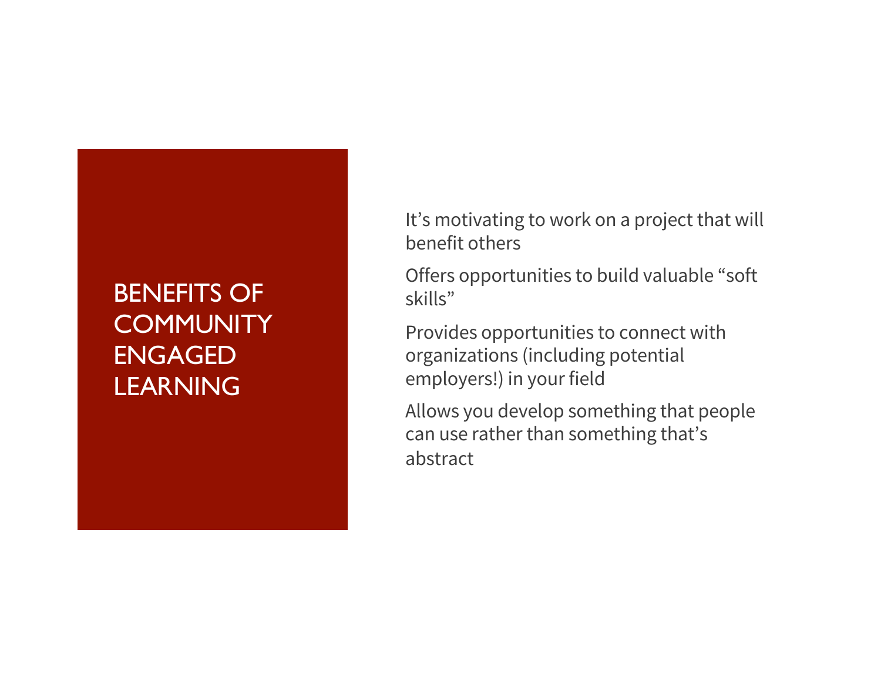# BENEFITS OF **COMMUNITY** ENGAGED **LEARNING**

It's motivating to work on a project that will benefit others

Offers opportunities to build valuable "soft skills"

Provides opportunities to connect with organizations (including potential employers!) in your field

Allows you develop something that people can use rather than something that's abstract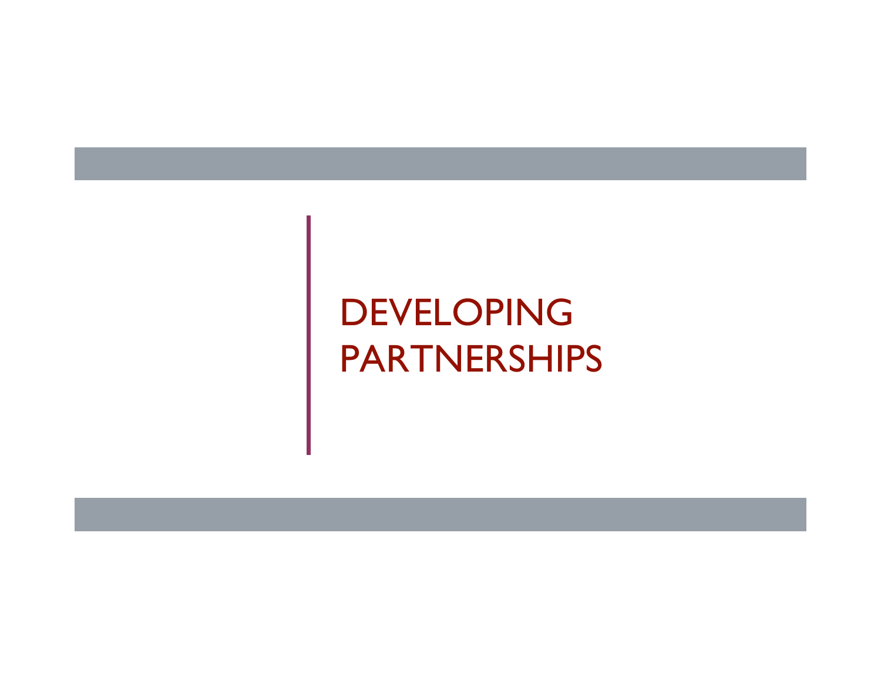# DEVELOPING PARTNERSHIPS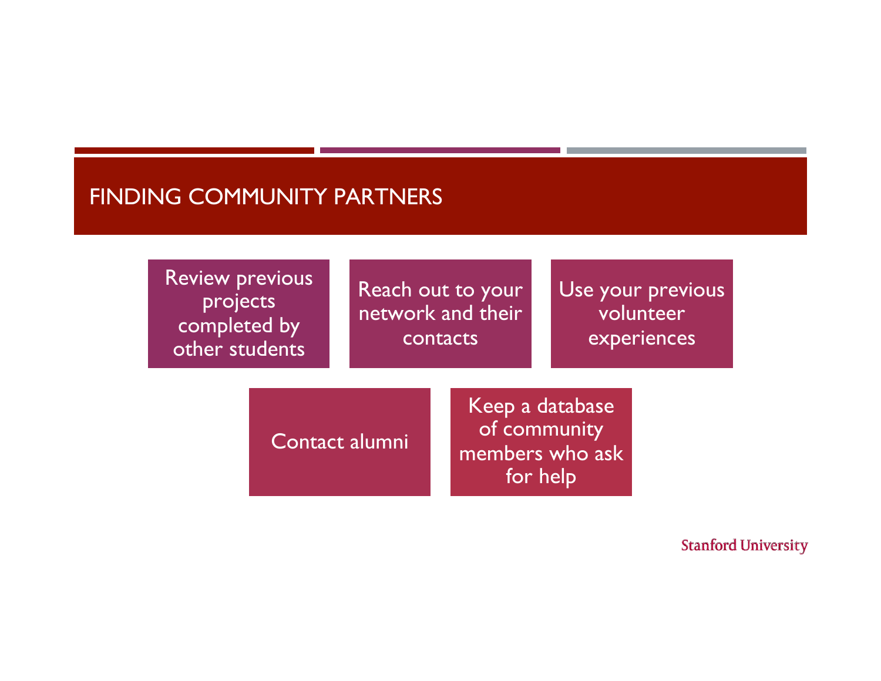#### FINDING COMMUNITY PARTNERS

Review previous projects completed by other students

Reach out to your network and their contacts

Use your previous volunteer experiences

Contact alumni

Keep a database of community members who ask for help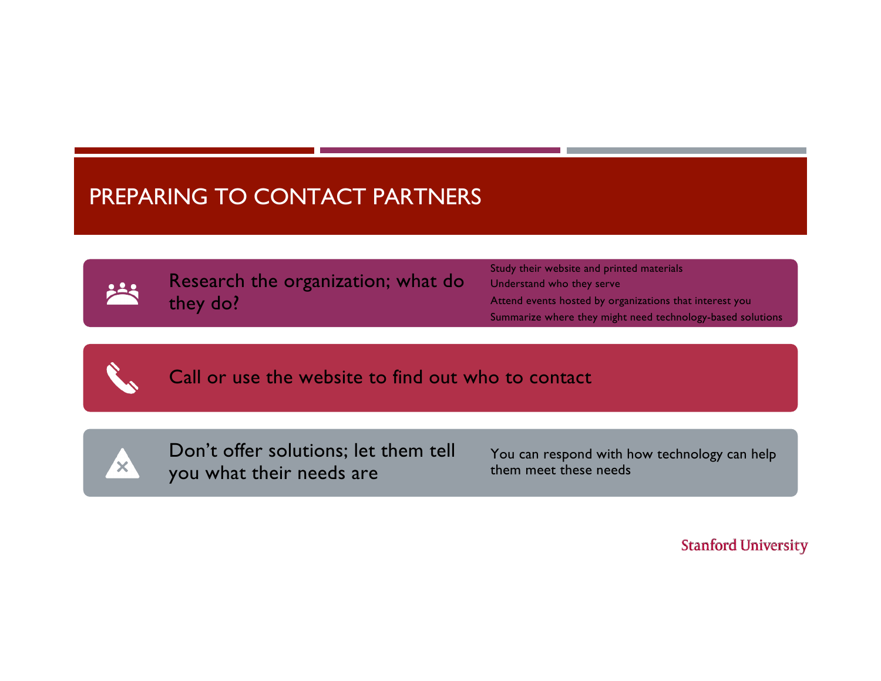# PREPARING TO CONTACT PARTNERS

Research the organization; what do they do?

Study their website and printed materials Understand who they serve Attend events hosted by organizations that interest you Summarize where they might need technology-based solutions

Call or use the website to find out who to contact



Don't offer solutions; let them tell you what their needs are

You can respond with how technology can help them meet these needs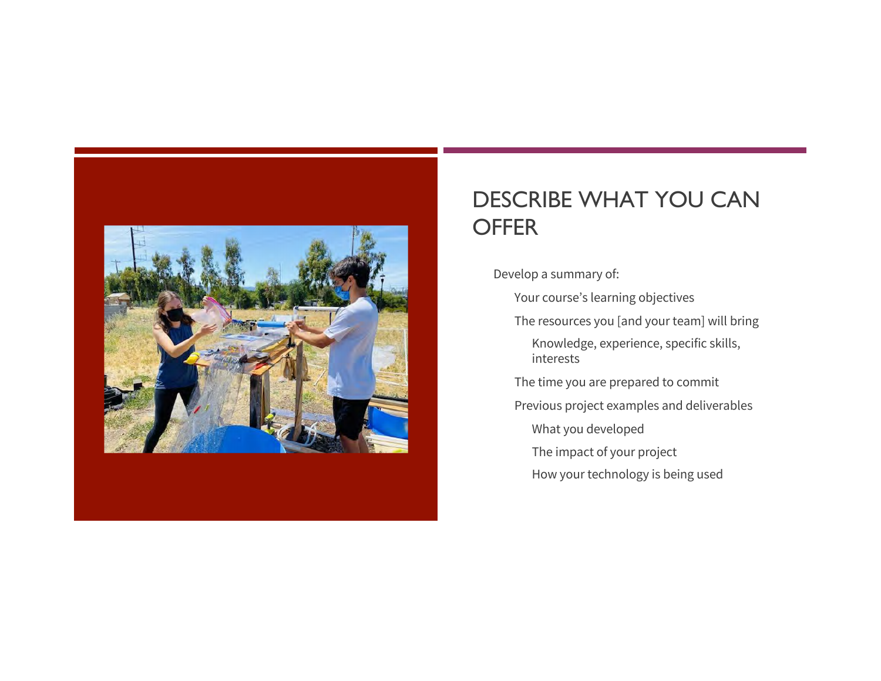

## DESCRIBE WHAT YOU CAN **OFFER**

Develop a summary of:

Your course's learning objectives

The resources you [and your team] will bring

Knowledge, experience, specific skills, interests

The time you are prepared to commit

Previous project examples and deliverables

What you developed

The impact of your project

How your technology is being used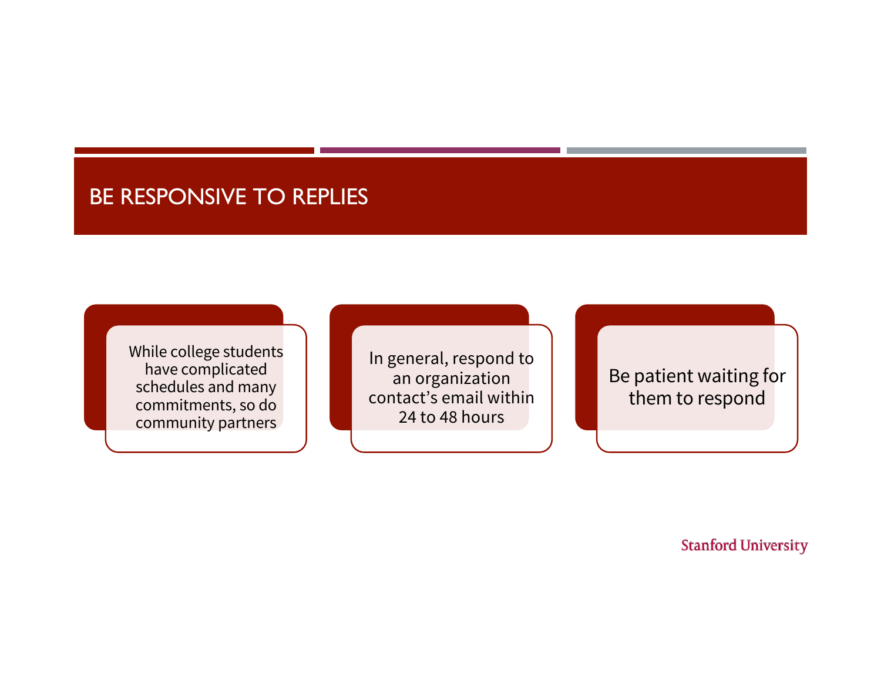### BE RESPONSIVE TO REPLIES

While college students have complicated schedules and many commitments, so do community partners

In general, respond to an organization contact's email within 24 to 48 hours

Be patient waiting for them to respond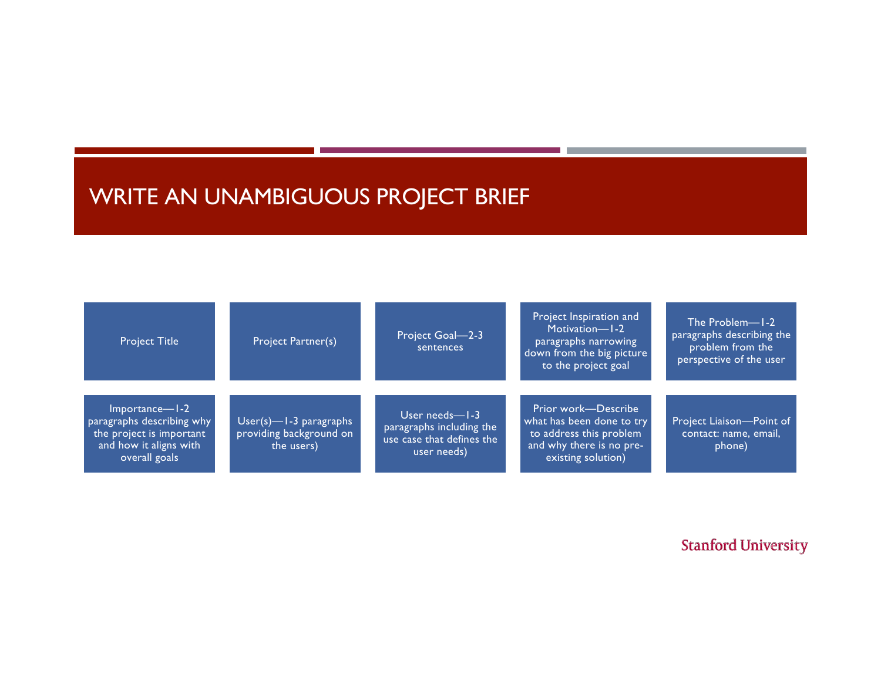# WRITE AN UNAMBIGUOUS PROJECT BRIEF

| <b>Project Title</b>                                                                                               | Project Partner(s)                                              | Project Goal-2-3<br>sentences                                                              | Project Inspiration and<br>Motivation-1-2<br>paragraphs narrowing<br>down from the big picture<br>to the project goal         | The Problem-1-2<br>paragraphs describing the<br>problem from the<br>perspective of the user |
|--------------------------------------------------------------------------------------------------------------------|-----------------------------------------------------------------|--------------------------------------------------------------------------------------------|-------------------------------------------------------------------------------------------------------------------------------|---------------------------------------------------------------------------------------------|
| Importance—1-2<br>paragraphs describing why<br>the project is important<br>and how it aligns with<br>overall goals | User(s)-l-3 paragraphs<br>providing background on<br>the users) | User needs- $-1-3$<br>paragraphs including the<br>use case that defines the<br>user needs) | Prior work-Describe<br>what has been done to try<br>to address this problem<br>and why there is no pre-<br>existing solution) | Project Liaison-Point of<br>contact: name, email,<br>phone)                                 |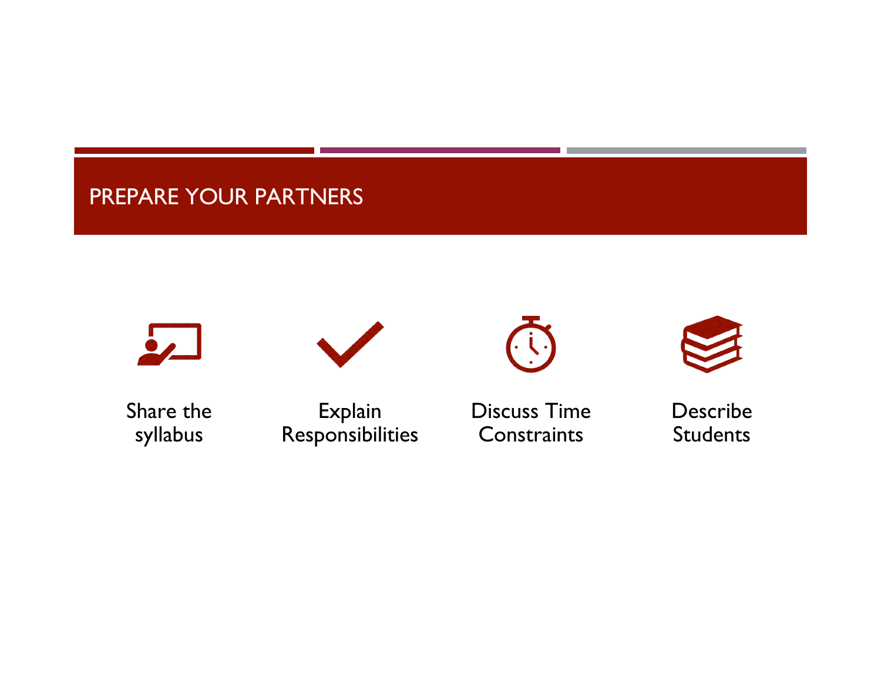# PREPARE YOUR PARTNERS











Share the syllabus

Explain Responsibilities Discuss Time **Constraints** 

Describe **Students**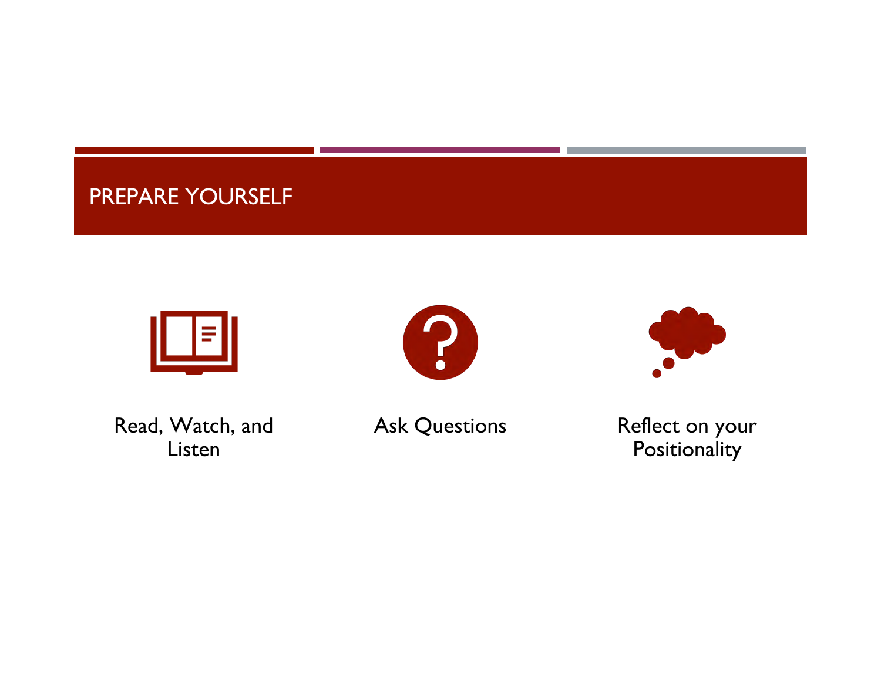# PREPARE YOURSELF







Read, Watch, and Listen

Ask Questions **Reflect** on your **Positionality**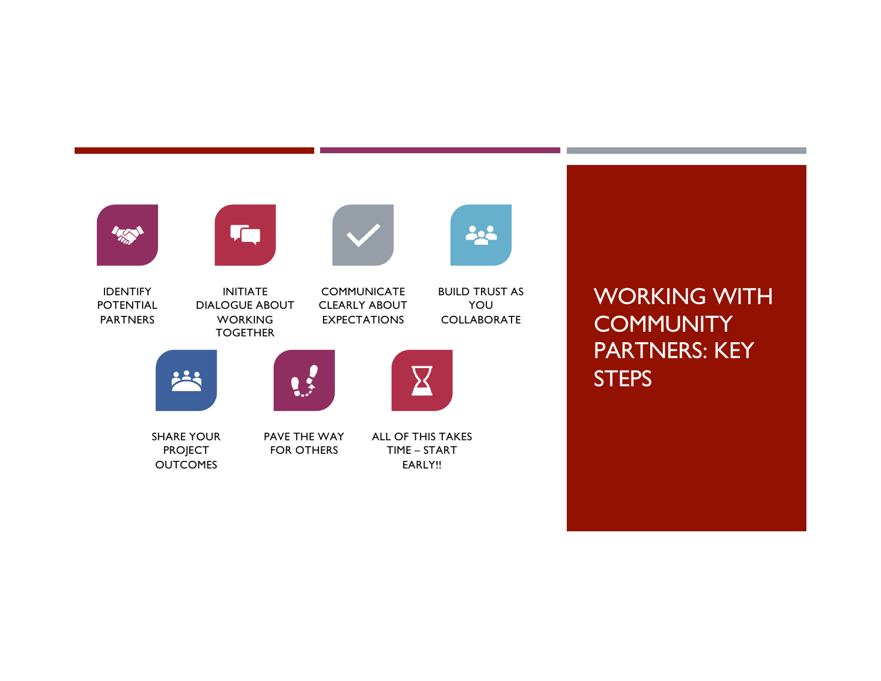

WORKING WITH **COMMUNITY** PARTNERS: KEY **STEPS**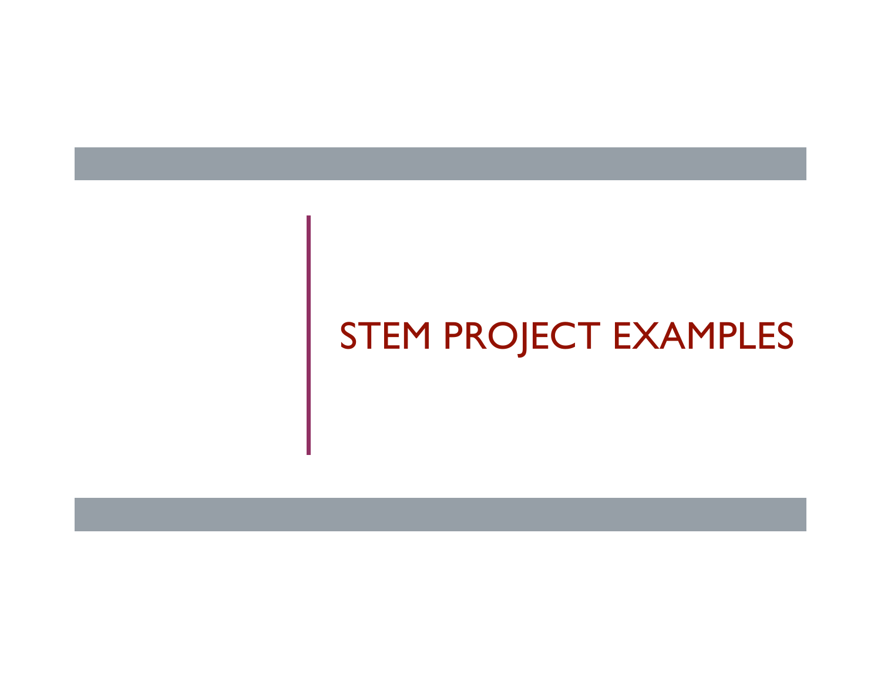# STEM PROJECT EXAMPLES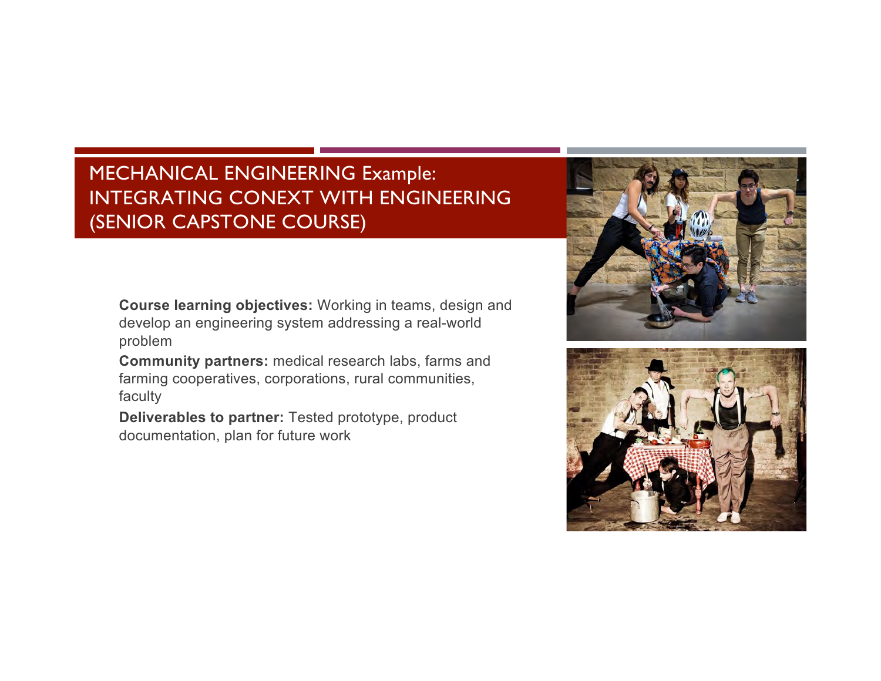#### MECHANICAL ENGINEERING Example: INTEGRATING CONEXT WITH ENGINEERING (SENIOR CAPSTONE COURSE)

**Course learning objectives:** Working in teams, design and develop an engineering system addressing a real-world problem

**Community partners:** medical research labs, farms and farming cooperatives, corporations, rural communities, faculty

**Deliverables to partner:** Tested prototype, product documentation, plan for future work



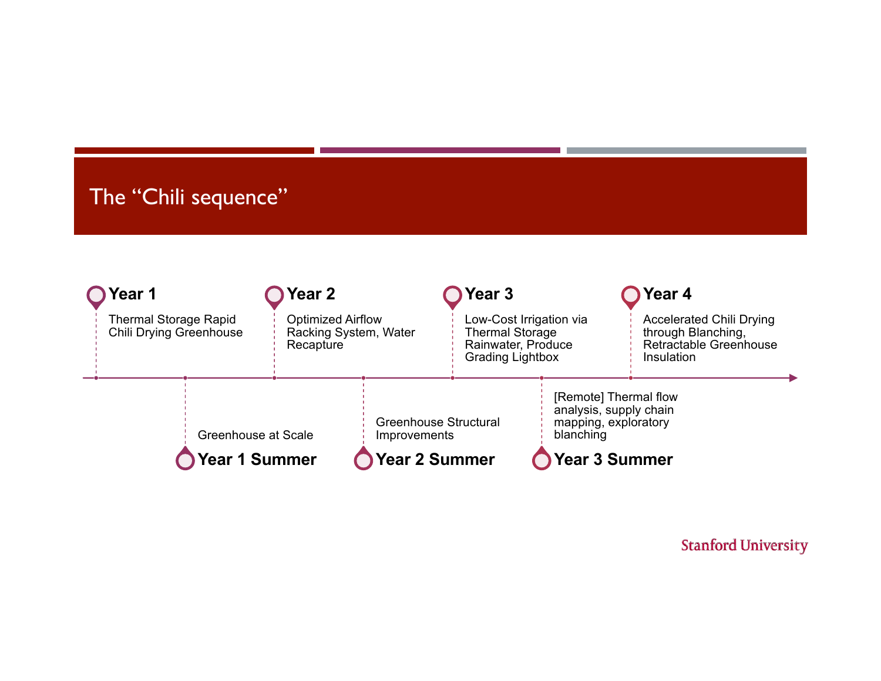# The "Chili sequence"

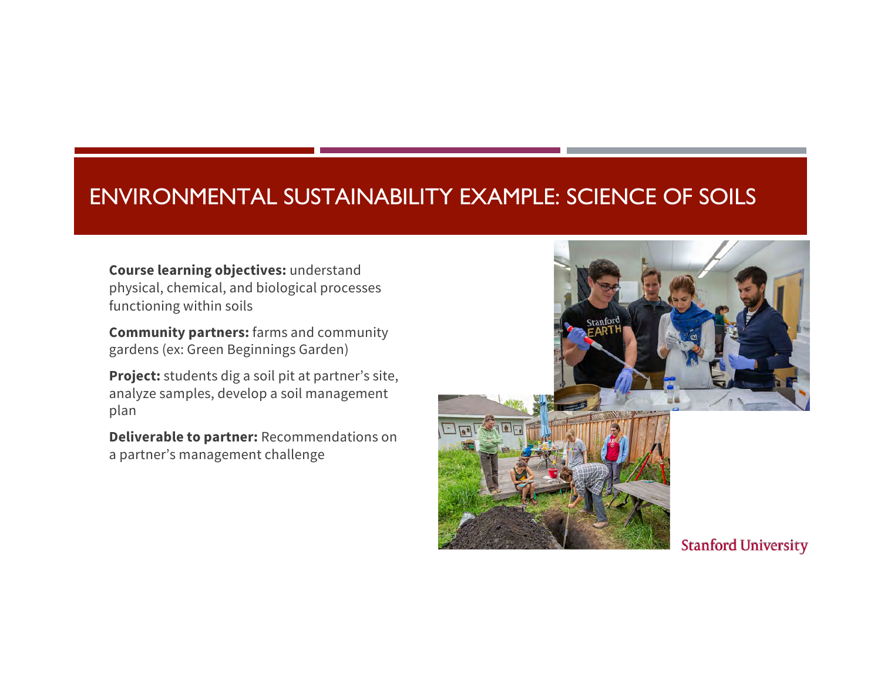### ENVIRONMENTAL SUSTAINABILITY EXAMPLE: SCIENCE OF SOILS

**Course learning objectives:** understand physical, chemical, and biological processes functioning within soils

**Community partners:** farms and community gardens (ex: Green Beginnings Garden)

**Project:** students dig a soil pit at partner's site, analyze samples, develop a soil management plan

**Deliverable to partner:** Recommendations on a partner's management challenge

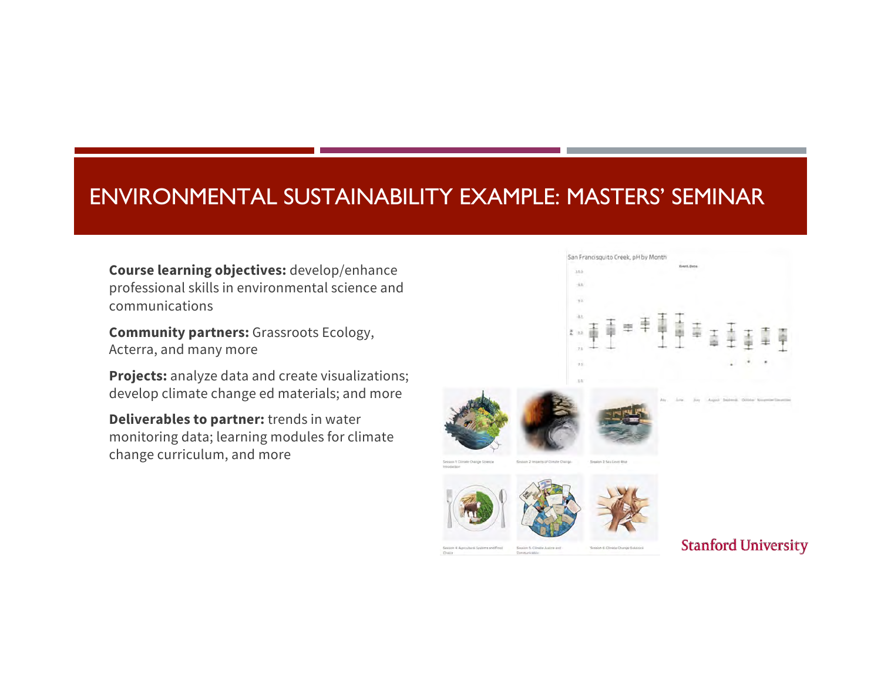### ENVIRONMENTAL SUSTAINABILITY EXAMPLE: MASTERS' SEMINAR

**Course learning objectives:** develop/enhance professional skills in environmental science and communications

**Community partners:** Grassroots Ecology, Acterra, and many more

**Projects:** analyze data and create visualizations; develop climate change ed materials; and more

**Deliverables to partner:** trends in water monitoring data; learning modules for climate change curriculum, and more

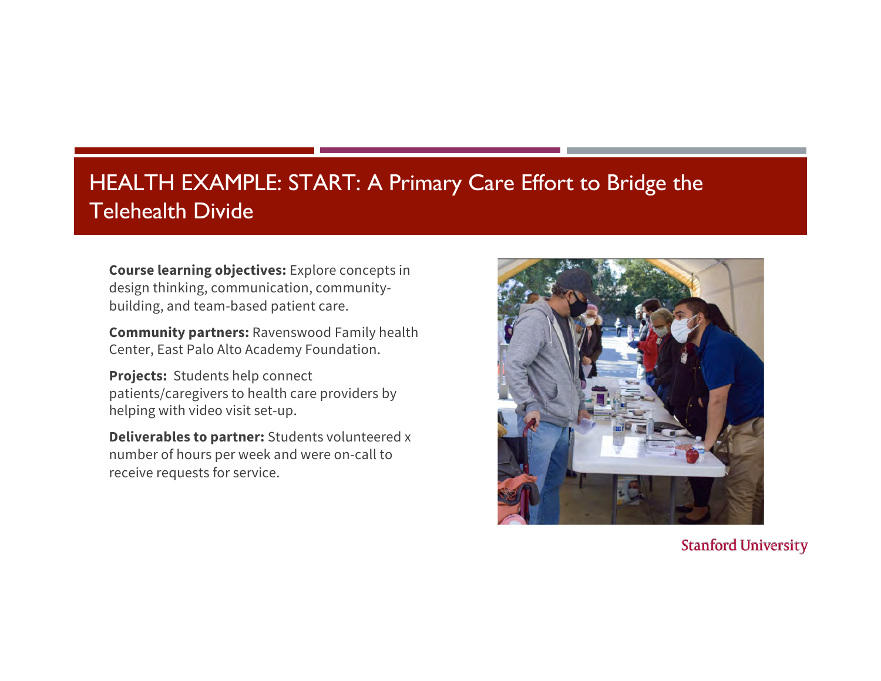# HEALTH EXAMPLE: START: A Primary Care Effort to Bridge the Telehealth Divide

**Course learning objectives:** Explore concepts in design thinking, communication, communitybuilding, and team-based patient care.

**Community partners:** Ravenswood Family health Center, East Palo Alto Academy Foundation.

**Projects:** Students help connect patients/caregivers to health care providers by helping with video visit set-up.

**Deliverables to partner:** Students volunteered x number of hours per week and were on-call to receive requests for service.



**Stanford University**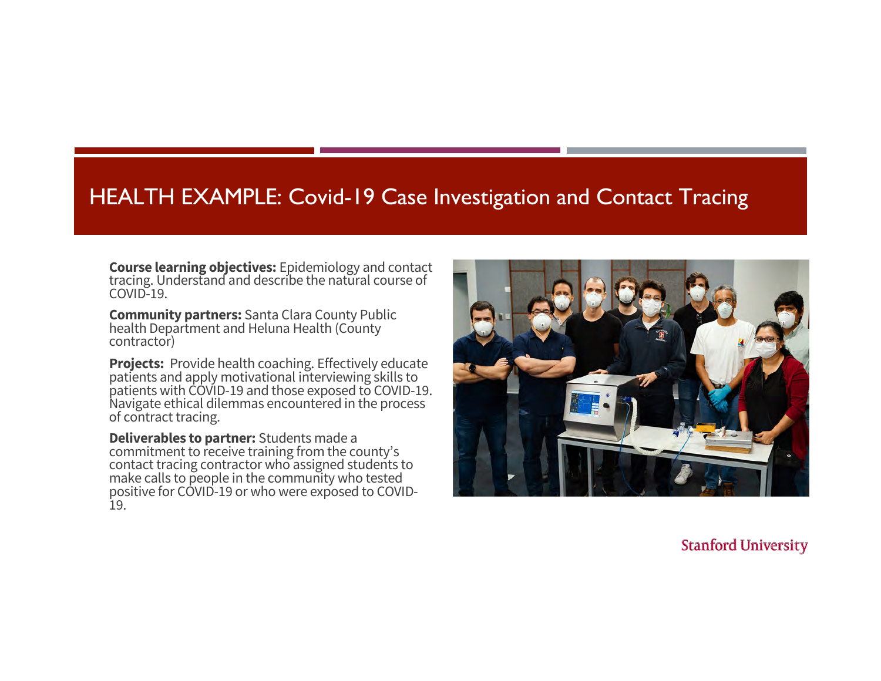#### HEALTH EXAMPLE: Covid-19 Case Investigation and Contact Tracing

**Course learning objectives:** Epidemiology and contact tracing. Understand and describe the natural course of COVID-19.

**Community partners:** Santa Clara County Public health Department and Heluna Health (County contractor)

**Projects:** Provide health coaching. Effectively educate patients and apply motivational interviewing skills to patients with COVID-19 and those exposed to COVID-19. Navigate ethical dilemmas encountered in the process of contract tracing.

**Deliverables to partner:** Students made a commitment to receive training from the county's contact tracing contractor who assigned students to make calls to people in the community who tested positive for COVID-19 or who were exposed to COVID-<br>19.